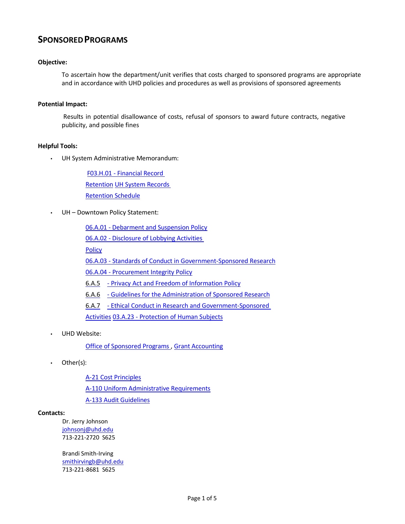# **SPONSOREDPROGRAMS**

## **Objective:**

To ascertain how the department/unit verifies that costs charged to sponsored programs are appropriate and in accordance with UHD policies and procedures as well as provisions of sponsored agreements

### **Potential Impact:**

Results in potential disallowance of costs, refusal of sponsors to award future contracts, negative publicity, and possible fines

## **Helpful Tools:**

• UH System Administrative Memorandum:

[F03.H.01](http://www.uhsa.uh.edu/sam/3FicsalAffairs/3H1.pdf) - Financial Record [Retention](http://www.uhsa.uh.edu/sam/3FicsalAffairs/3H1.pdf) [UH System Records](http://www.uh.edu/finance/references/Record_Retention/Retention_Sch_6-7-04C.pdf) [Retention](http://www.uh.edu/finance/references/Record_Retention/Retention_Sch_6-7-04C.pdf) Schedule

• UH – Downtown Policy Statement:

06.A.01 - [Debarment](http://www.uhd.edu/about/hr/PS06A01.pdf) and Suspension Policy 06.A.02 - [Disclosure of](http://www.uhd.edu/about/hr/PS06A02.pdf) Lobbying Activities **[Policy](http://www.uhd.edu/about/hr/PS06A02.pdf)** 06.A.03 - Standards of Conduct in [Government-Sponsored Research](http://www.uhd.edu/about/hr/PS06A03.pdf) 06.A.04 - Procurement [Integrity Policy](http://www.uhd.edu/about/hr/PS06A04.pdf) 6.A.5 - Privacy Act and Freedom [of Information](http://www.uhd.edu/about/hr/PS06A05.pdf) Policy 6.A.6 - Guidelines for the [Administration of Sponsored](http://www.uhd.edu/about/hr/PS06A06.pdf) Research 6.A.7 - Ethical Conduct in Research and [Government-Sponsored](http://www.uhd.edu/about/hr/PS06A07.pdf)  [Activities](http://www.uhd.edu/about/hr/PS06A07.pdf) 03.A.23 - [Protection](http://www.uhd.edu/about/hr/PS03A23.pdf) of Human Subjects

• UHD Website:

Office of [Sponsored Programs](http://www.uhd.edu/about/irp/OSP/Index.html) , Grant [Accounting](http://www.uhd.edu/facultyandstaff/busaff/GrantAccounting.html)

• Other(s):

[A-21 Cost](http://www.whitehouse.gov/omb/circulars/a021/a21_2004.html) Principles A-110 Uniform [Administrative Requirements](http://www.whitehouse.gov/omb/circulars/a110/a110.html) [A-133 Audit](http://www.whitehouse.gov/omb/circulars/a133/a133.html) Guidelines

#### **Contacts:**

Dr. Jerry Johnson [johnsonj@uhd.edu](mailto:johnsonj@uhd.edu) 713-221-2720 S625

Brandi Smith-Irving [smithirvingb@uhd.edu](mailto:smithirvingb@uhd.edu) 713-221-8681 S625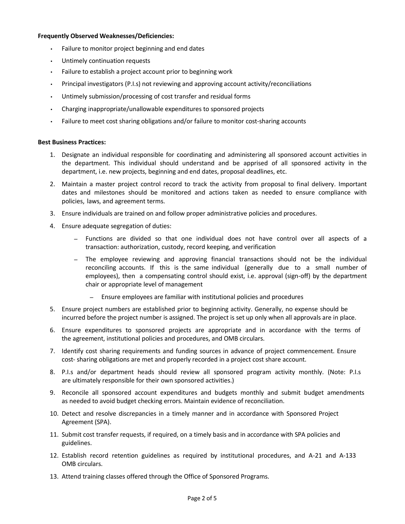### **Frequently Observed Weaknesses/Deficiencies:**

- Failure to monitor project beginning and end dates
- Untimely continuation requests
- Failure to establish a project account prior to beginning work
- Principal investigators (P.I.s) not reviewing and approving account activity/reconciliations
- Untimely submission/processing of cost transfer and residual forms
- Charging inappropriate/unallowable expenditures to sponsored projects
- Failure to meet cost sharing obligations and/or failure to monitor cost-sharing accounts

#### **Best Business Practices:**

- 1. Designate an individual responsible for coordinating and administering all sponsored account activities in the department. This individual should understand and be apprised of all sponsored activity in the department, i.e. new projects, beginning and end dates, proposal deadlines, etc.
- 2. Maintain a master project control record to track the activity from proposal to final delivery. Important dates and milestones should be monitored and actions taken as needed to ensure compliance with policies, laws, and agreement terms.
- 3. Ensure individuals are trained on and follow proper administrative policies and procedures.
- 4. Ensure adequate segregation of duties:
	- *–* Functions are divided so that one individual does not have control over all aspects of a transaction: authorization, custody, record keeping, and verification
	- *–* The employee reviewing and approving financial transactions should not be the individual reconciling accounts. If this is the same individual (generally due to a small number of employees), then a compensating control should exist, i.e. approval (sign-off) by the department chair or appropriate level of management
		- *–* Ensure employees are familiar with institutional policies and procedures
- 5. Ensure project numbers are established prior to beginning activity. Generally, no expense should be incurred before the project number is assigned. The project is set up only when all approvals are in place.
- 6. Ensure expenditures to sponsored projects are appropriate and in accordance with the terms of the agreement, institutional policies and procedures, and OMB circulars.
- 7. Identify cost sharing requirements and funding sources in advance of project commencement. Ensure cost- sharing obligations are met and properly recorded in a project cost share account.
- 8. P.I.s and/or department heads should review all sponsored program activity monthly. (Note: P.I.s are ultimately responsible for their own sponsored activities.)
- 9. Reconcile all sponsored account expenditures and budgets monthly and submit budget amendments as needed to avoid budget checking errors. Maintain evidence of reconciliation.
- 10. Detect and resolve discrepancies in a timely manner and in accordance with Sponsored Project Agreement (SPA).
- 11. Submit cost transfer requests, if required, on a timely basis and in accordance with SPA policies and guidelines.
- 12. Establish record retention guidelines as required by institutional procedures, and A-21 and A-133 OMB circulars.
- 13. Attend training classes offered through the Office of Sponsored Programs.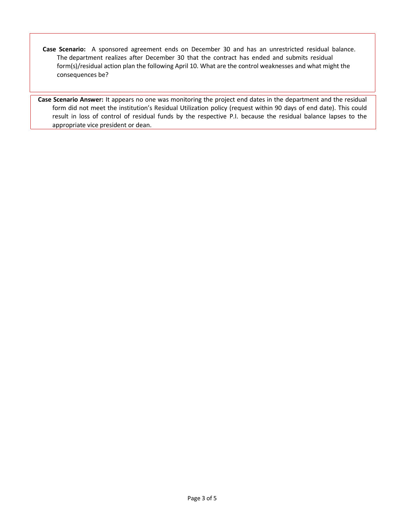**Case Scenario:** A sponsored agreement ends on December 30 and has an unrestricted residual balance. The department realizes after December 30 that the contract has ended and submits residual form(s)/residual action plan the following April 10. What are the control weaknesses and what might the consequences be?

**Case Scenario Answer:** It appears no one was monitoring the project end dates in the department and the residual form did not meet the institution's Residual Utilization policy (request within 90 days of end date). This could result in loss of control of residual funds by the respective P.I. because the residual balance lapses to the appropriate vice president or dean.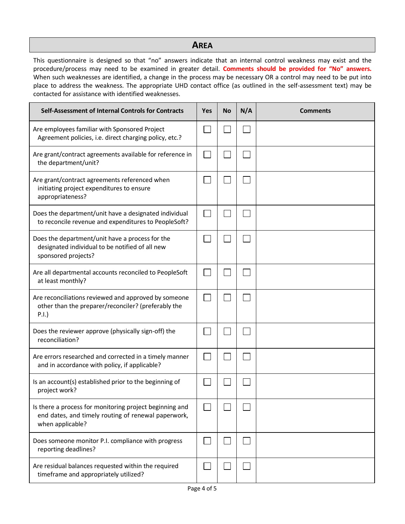# **AREA**

This questionnaire is designed so that "no" answers indicate that an internal control weakness may exist and the procedure/process may need to be examined in greater detail. **Comments should be provided for "No" answers.**  When such weaknesses are identified, a change in the process may be necessary OR a control may need to be put into place to address the weakness. The appropriate UHD contact office (as outlined in the self-assessment text) may be contacted for assistance with identified weaknesses.

| Self-Assessment of Internal Controls for Contracts                                                                                 | <b>Yes</b> | No | N/A | <b>Comments</b> |
|------------------------------------------------------------------------------------------------------------------------------------|------------|----|-----|-----------------|
| Are employees familiar with Sponsored Project<br>Agreement policies, i.e. direct charging policy, etc.?                            |            |    |     |                 |
| Are grant/contract agreements available for reference in<br>the department/unit?                                                   |            |    |     |                 |
| Are grant/contract agreements referenced when<br>initiating project expenditures to ensure<br>appropriateness?                     |            |    |     |                 |
| Does the department/unit have a designated individual<br>to reconcile revenue and expenditures to PeopleSoft?                      |            |    |     |                 |
| Does the department/unit have a process for the<br>designated individual to be notified of all new<br>sponsored projects?          |            |    |     |                 |
| Are all departmental accounts reconciled to PeopleSoft<br>at least monthly?                                                        |            |    |     |                 |
| Are reconciliations reviewed and approved by someone<br>other than the preparer/reconciler? (preferably the<br>P.I.                |            |    |     |                 |
| Does the reviewer approve (physically sign-off) the<br>reconciliation?                                                             |            |    |     |                 |
| Are errors researched and corrected in a timely manner<br>and in accordance with policy, if applicable?                            |            |    |     |                 |
| Is an account(s) established prior to the beginning of<br>project work?                                                            |            |    |     |                 |
| Is there a process for monitoring project beginning and<br>end dates, and timely routing of renewal paperwork,<br>when applicable? |            |    |     |                 |
| Does someone monitor P.I. compliance with progress<br>reporting deadlines?                                                         |            |    |     |                 |
| Are residual balances requested within the required<br>timeframe and appropriately utilized?                                       |            |    |     |                 |